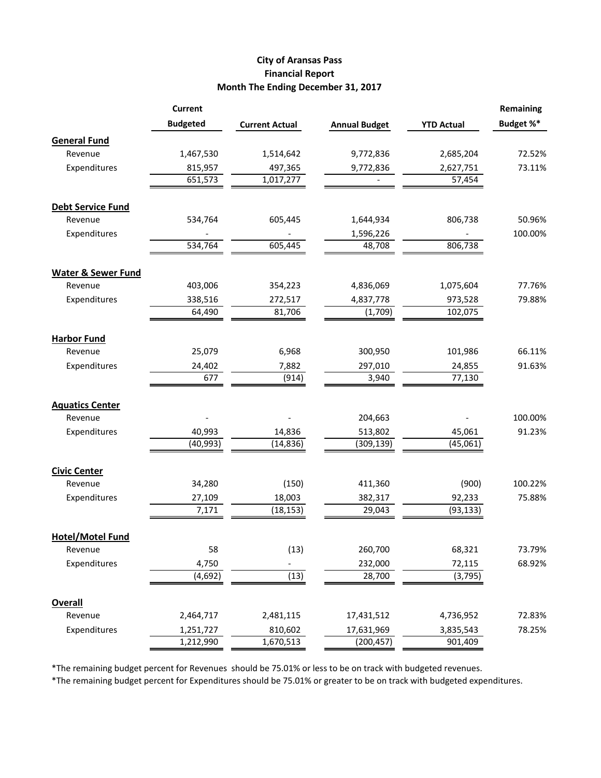## **City of Aransas Pass Financial Report Month The Ending December 31, 2017**

|                               | <b>Current</b>  |                       |                      |                   | <b>Remaining</b> |
|-------------------------------|-----------------|-----------------------|----------------------|-------------------|------------------|
|                               | <b>Budgeted</b> | <b>Current Actual</b> | <b>Annual Budget</b> | <b>YTD Actual</b> | Budget %*        |
| <b>General Fund</b>           |                 |                       |                      |                   |                  |
| Revenue                       | 1,467,530       | 1,514,642             | 9,772,836            | 2,685,204         | 72.52%           |
| Expenditures                  | 815,957         | 497,365               | 9,772,836            | 2,627,751         | 73.11%           |
|                               | 651,573         | 1,017,277             |                      | 57,454            |                  |
| <b>Debt Service Fund</b>      |                 |                       |                      |                   |                  |
| Revenue                       | 534,764         | 605,445               | 1,644,934            | 806,738           | 50.96%           |
| Expenditures                  |                 |                       | 1,596,226            |                   | 100.00%          |
|                               | 534,764         | 605,445               | 48,708               | 806,738           |                  |
| <b>Water &amp; Sewer Fund</b> |                 |                       |                      |                   |                  |
| Revenue                       | 403,006         | 354,223               | 4,836,069            | 1,075,604         | 77.76%           |
| Expenditures                  | 338,516         | 272,517               | 4,837,778            | 973,528           | 79.88%           |
|                               | 64,490          | 81,706                | (1,709)              | 102,075           |                  |
| <b>Harbor Fund</b>            |                 |                       |                      |                   |                  |
| Revenue                       | 25,079          | 6,968                 | 300,950              | 101,986           | 66.11%           |
| Expenditures                  | 24,402          | 7,882                 | 297,010              | 24,855            | 91.63%           |
|                               | 677             | (914)                 | 3,940                | 77,130            |                  |
| <b>Aquatics Center</b>        |                 |                       |                      |                   |                  |
| Revenue                       |                 |                       | 204,663              |                   | 100.00%          |
| Expenditures                  | 40,993          | 14,836                | 513,802              | 45,061            | 91.23%           |
|                               | (40, 993)       | (14, 836)             | (309, 139)           | (45,061)          |                  |
| <b>Civic Center</b>           |                 |                       |                      |                   |                  |
| Revenue                       | 34,280          | (150)                 | 411,360              | (900)             | 100.22%          |
| Expenditures                  | 27,109          | 18,003                | 382,317              | 92,233            | 75.88%           |
|                               | 7,171           | (18, 153)             | 29,043               | (93, 133)         |                  |
| <b>Hotel/Motel Fund</b>       |                 |                       |                      |                   |                  |
| Revenue                       | 58              | (13)                  | 260,700              | 68,321            | 73.79%           |
| Expenditures                  | 4,750           |                       | 232,000              | 72,115            | 68.92%           |
|                               | (4, 692)        | (13)                  | 28,700               | (3, 795)          |                  |
| <b>Overall</b>                |                 |                       |                      |                   |                  |
| Revenue                       | 2,464,717       | 2,481,115             | 17,431,512           | 4,736,952         | 72.83%           |
| Expenditures                  | 1,251,727       | 810,602               | 17,631,969           | 3,835,543         | 78.25%           |
|                               | 1,212,990       | 1,670,513             | (200, 457)           | 901,409           |                  |

\*The remaining budget percent for Revenues should be 75.01% or less to be on track with budgeted revenues.

\*The remaining budget percent for Expenditures should be 75.01% or greater to be on track with budgeted expenditures.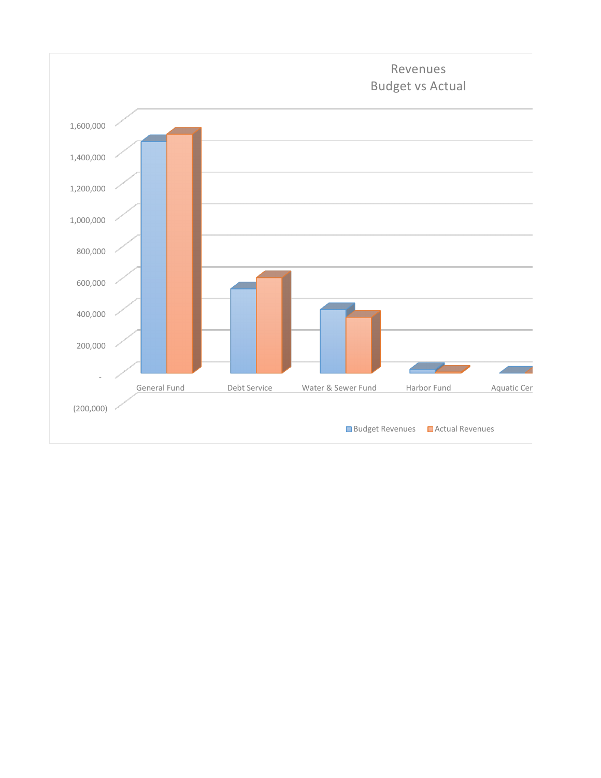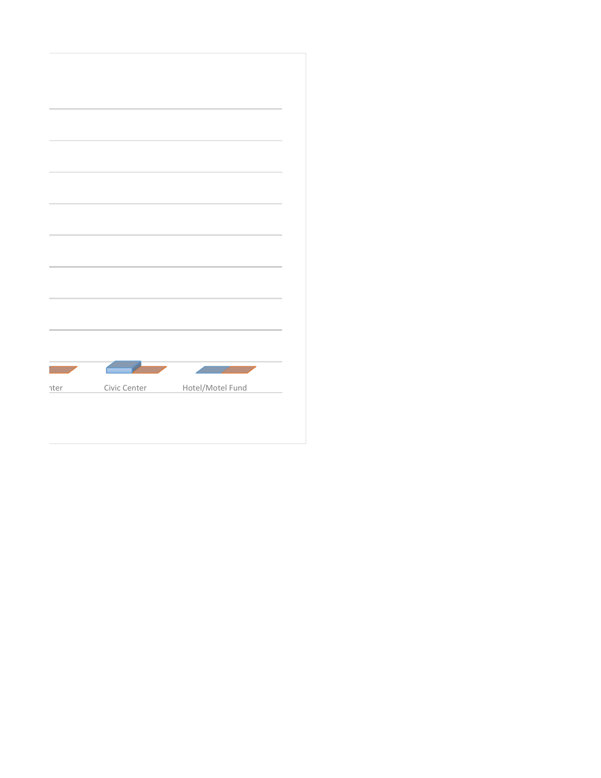| $\overline{\phantom{a}}$ |              |                  |  |
|--------------------------|--------------|------------------|--|
|                          |              |                  |  |
|                          |              |                  |  |
|                          |              |                  |  |
| nter                     | Civic Center | Hotel/Motel Fund |  |
|                          |              |                  |  |
|                          |              |                  |  |
|                          |              |                  |  |
|                          |              |                  |  |
|                          |              |                  |  |
|                          |              |                  |  |
|                          |              |                  |  |
|                          |              |                  |  |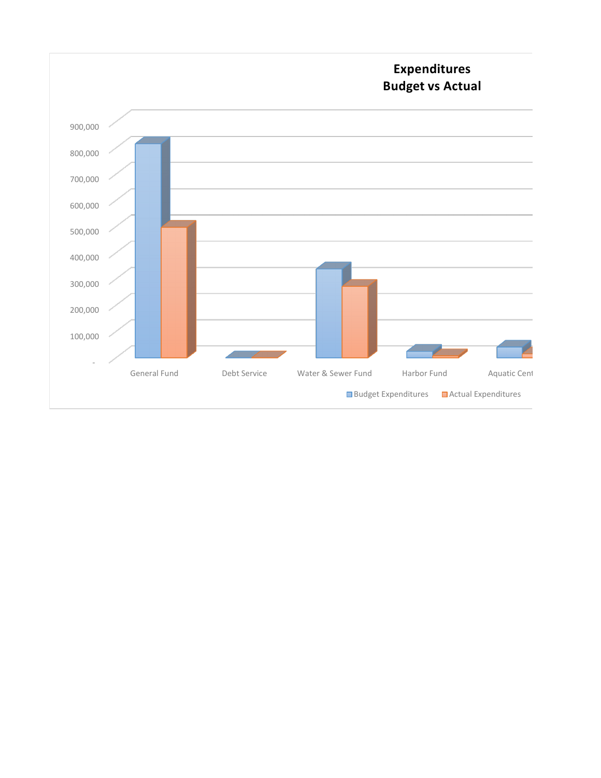